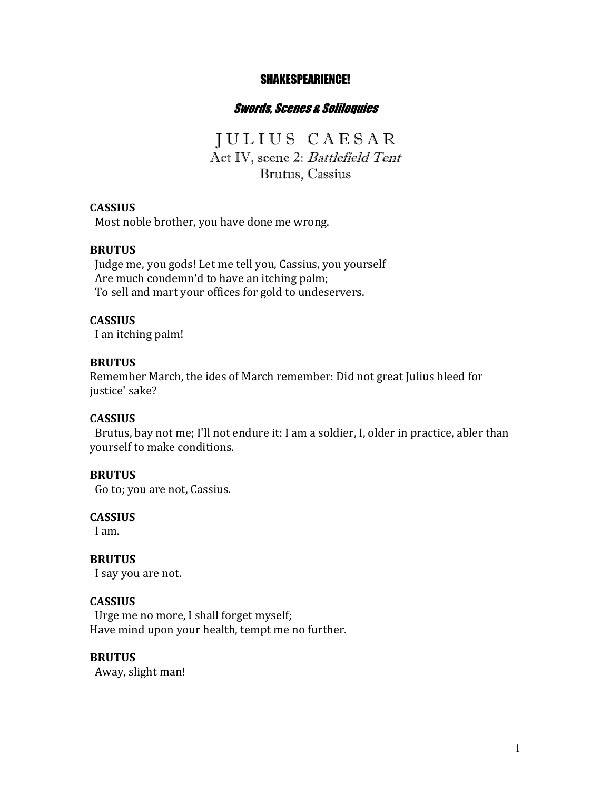#### SHAKESPEARIENCE!

## Swords, Scenes & Soliloquies

J U L I U S C A E S A R Act IV, scene 2: Battlefield Tent Brutus, Cassius

#### **CASSIUS**

Most noble brother, you have done me wrong.

#### **BRUTUS**

Judge me, you gods! Let me tell you, Cassius, you yourself Are much condemn'd to have an itching palm; To sell and mart your offices for gold to undeservers.

#### **CASSIUS**

I an itching palm!

#### **BRUTUS**

Remember March, the ides of March remember: Did not great Julius bleed for justice' sake?

#### **CASSIUS**

Brutus, bay not me; I'll not endure it: I am a soldier, I, older in practice, abler than yourself to make conditions.

#### **BRUTUS**

Go to; you are not, Cassius.

## **CASSIUS**

I am.

**BRUTUS**  I say you are not.

# **CASSIUS**

Urge me no more, I shall forget myself; Have mind upon your health, tempt me no further.

#### **BRUTUS**

Away, slight man!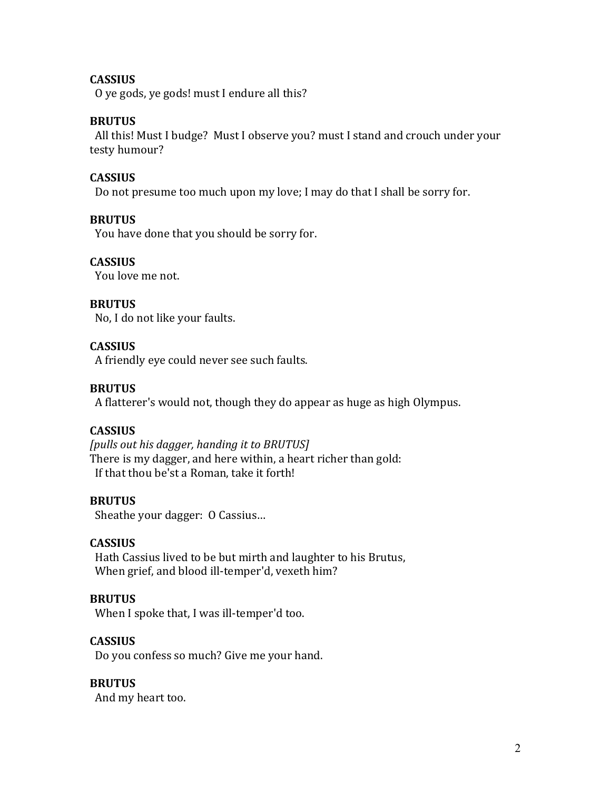## **CASSIUS**

O ye gods, ye gods! must I endure all this?

## **BRUTUS**

All this! Must I budge? Must I observe you? must I stand and crouch under your testy humour?

## **CASSIUS**

Do not presume too much upon my love; I may do that I shall be sorry for.

## **BRUTUS**

You have done that you should be sorry for.

## **CASSIUS**

You love me not.

## **BRUTUS**

No, I do not like your faults.

## **CASSIUS**

A friendly eye could never see such faults.

## **BRUTUS**

A flatterer's would not, though they do appear as huge as high Olympus.

## **CASSIUS**

[pulls out his dagger, handing it to BRUTUS] There is my dagger, and here within, a heart richer than gold: If that thou be'st a Roman, take it forth!

#### **BRUTUS**

Sheathe your dagger: O Cassius...

#### **CASSIUS**

Hath Cassius lived to be but mirth and laughter to his Brutus, When grief, and blood ill-temper'd, vexeth him?

## **BRUTUS**

When I spoke that, I was ill-temper'd too.

## **CASSIUS**

Do you confess so much? Give me your hand.

## **BRUTUS**

And my heart too.